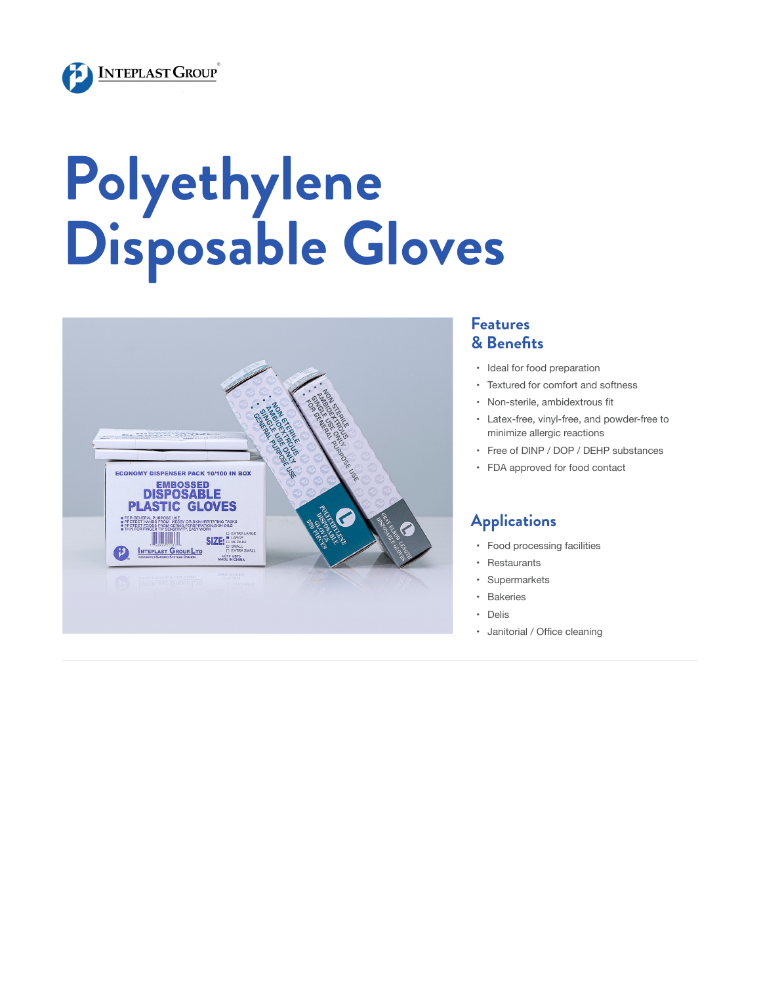

# **Polyethylene Disposable Gloves**



#### **Features & Benefits**

- • Ideal for food preparation
- • Textured for comfort and softness
- • Non-sterile, ambidextrous fit
- • Latex-free, vinyl-free, and powder-free to minimize allergic reactions
- • Free of DINP / DOP / DEHP substances
- • FDA approved for food contact

#### **Applications**

- • Food processing facilities
- • Restaurants
- • Supermarkets
- • Bakeries
- • Delis
- • Janitorial / Office cleaning